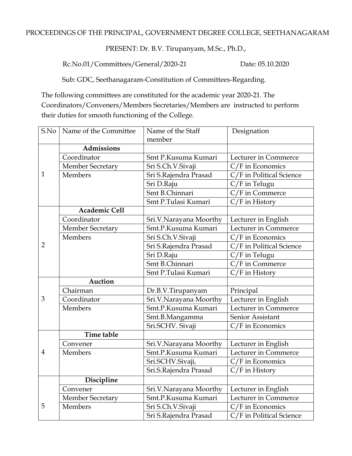## PROCEEDINGS OF THE PRINCIPAL, GOVERNMENT DEGREE COLLEGE, SEETHANAGARAM

PRESENT: Dr. B.V. Tirupanyam, M.Sc., Ph.D.,

Rc.No.01/Committees/General/2020-21 Date: 05.10.2020

Sub: GDC, Seethanagaram-Constitution of Committees-Regarding.

The following committees are constituted for the academic year 2020-21. The Coordinators/Conveners/Members Secretaries/Members are instructed to perform their duties for smooth functioning of the College.

| S.No           | Name of the Committee   | Name of the Staff      | Designation              |
|----------------|-------------------------|------------------------|--------------------------|
|                |                         | member                 |                          |
|                | <b>Admissions</b>       |                        |                          |
|                | Coordinator             | Smt P.Kusuma Kumari    | Lecturer in Commerce     |
|                | <b>Member Secretary</b> | Sri S.Ch.V.Sivaji      | C/F in Economics         |
| $\mathbf{1}$   | <b>Members</b>          | Sri S.Rajendra Prasad  | C/F in Political Science |
|                |                         | Sri D.Raju             | C/F in Telugu            |
|                |                         | Smt B.Chinnari         | C/F in Commerce          |
|                |                         | Smt P.Tulasi Kumari    | $C/F$ in History         |
|                | <b>Academic Cell</b>    |                        |                          |
|                | Coordinator             | Sri.V.Narayana Moorthy | Lecturer in English      |
|                | <b>Member Secretary</b> | Smt.P.Kusuma Kumari    | Lecturer in Commerce     |
|                | <b>Members</b>          | Sri S.Ch.V.Sivaji      | C/F in Economics         |
| $\overline{2}$ |                         | Sri S.Rajendra Prasad  | C/F in Political Science |
|                |                         | Sri D.Raju             | C/F in Telugu            |
|                |                         | Smt B.Chinnari         | C/F in Commerce          |
|                |                         | Smt P.Tulasi Kumari    | $C/F$ in History         |
|                | <b>Auction</b>          |                        |                          |
|                | Chairman                | Dr.B.V.Tirupanyam      | Principal                |
| 3              | Coordinator             | Sri.V.Narayana Moorthy | Lecturer in English      |
|                | Members                 | Smt.P.Kusuma Kumari    | Lecturer in Commerce     |
|                |                         | Smt.B.Mangamma         | Senior Assistant         |
|                |                         | Sri.SCHV. Sivaji       | C/F in Economics         |
|                | <b>Time table</b>       |                        |                          |
| $\overline{4}$ | Convener                | Sri.V.Narayana Moorthy | Lecturer in English      |
|                | <b>Members</b>          | Smt.P.Kusuma Kumari    | Lecturer in Commerce     |
|                |                         | Sri.SCHV.Sivaji,       | C/F in Economics         |
|                |                         | Sri.S.Rajendra Prasad  | $C/F$ in History         |
|                | Discipline              |                        |                          |
|                | Convener                | Sri.V.Narayana Moorthy | Lecturer in English      |
|                | <b>Member Secretary</b> | Smt.P.Kusuma Kumari    | Lecturer in Commerce     |
| 5              | <b>Members</b>          | Sri S.Ch.V.Sivaji      | C/F in Economics         |
|                |                         | Sri S.Rajendra Prasad  | C/F in Political Science |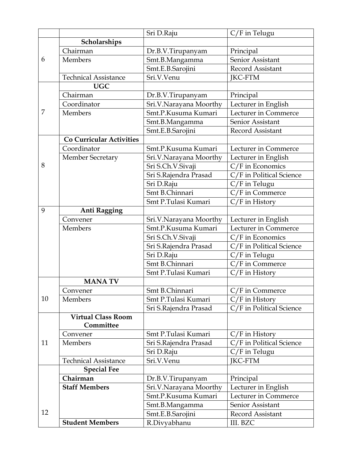|    |                                 | Sri D.Raju             | C/F in Telugu            |
|----|---------------------------------|------------------------|--------------------------|
|    | Scholarships                    |                        |                          |
|    | Chairman                        | Dr.B.V.Tirupanyam      | Principal                |
| 6  | Members                         | Smt.B.Mangamma         | Senior Assistant         |
|    |                                 | Smt.E.B.Sarojini       | <b>Record Assistant</b>  |
|    | <b>Technical Assistance</b>     | Sri.V.Venu             | <b>JKC-FTM</b>           |
|    | <b>UGC</b>                      |                        |                          |
|    | Chairman                        | Dr.B.V.Tirupanyam      | Principal                |
|    | Coordinator                     | Sri.V.Narayana Moorthy | Lecturer in English      |
| 7  | Members                         | Smt.P.Kusuma Kumari    | Lecturer in Commerce     |
|    |                                 | Smt.B.Mangamma         | Senior Assistant         |
|    |                                 | Smt.E.B.Sarojini       | Record Assistant         |
|    | <b>Co Curricular Activities</b> |                        |                          |
|    | Coordinator                     | Smt.P.Kusuma Kumari    | Lecturer in Commerce     |
|    | Member Secretary                | Sri.V.Narayana Moorthy | Lecturer in English      |
| 8  |                                 | Sri S.Ch.V.Sivaji      | $C/F$ in Economics       |
|    |                                 | Sri S.Rajendra Prasad  | C/F in Political Science |
|    |                                 | Sri D.Raju             | C/F in Telugu            |
|    |                                 | Smt B.Chinnari         | C/F in Commerce          |
|    |                                 | Smt P.Tulasi Kumari    | $C/F$ in History         |
| 9  | <b>Anti Ragging</b>             |                        |                          |
|    | Convener                        | Sri.V.Narayana Moorthy | Lecturer in English      |
|    | <b>Members</b>                  | Smt.P.Kusuma Kumari    | Lecturer in Commerce     |
|    |                                 | Sri S.Ch.V.Sivaji      | $C/F$ in Economics       |
|    |                                 | Sri S.Rajendra Prasad  | C/F in Political Science |
|    |                                 | Sri D.Raju             | C/F in Telugu            |
|    |                                 | Smt B.Chinnari         | C/F in Commerce          |
|    |                                 | Smt P.Tulasi Kumari    | $C/F$ in History         |
|    | <b>MANATV</b>                   |                        |                          |
|    | Convener                        | Smt B.Chinnari         | $C/F$ in Commerce        |
| 10 | <b>Members</b>                  | Smt P.Tulasi Kumari    | $C/F$ in History         |
|    |                                 | Sri S.Rajendra Prasad  | C/F in Political Science |
|    | <b>Virtual Class Room</b>       |                        |                          |
|    | Committee                       |                        |                          |
|    | Convener                        | Smt P.Tulasi Kumari    | $C/F$ in History         |
| 11 | <b>Members</b>                  | Sri S.Rajendra Prasad  | C/F in Political Science |
|    |                                 | Sri D.Raju             | C/F in Telugu            |
|    | <b>Technical Assistance</b>     | Sri.V.Venu             | <b>JKC-FTM</b>           |
|    | <b>Special Fee</b>              |                        |                          |
|    | Chairman                        | Dr.B.V.Tirupanyam      | Principal                |
|    | <b>Staff Members</b>            | Sri.V.Narayana Moorthy | Lecturer in English      |
|    |                                 | Smt.P.Kusuma Kumari    | Lecturer in Commerce     |
|    |                                 | Smt.B.Mangamma         | Senior Assistant         |
| 12 |                                 | Smt.E.B.Sarojini       | Record Assistant         |
|    | <b>Student Members</b>          | R.Divyabhanu           | III. BZC                 |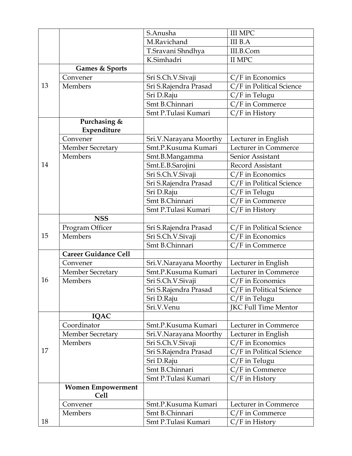|    |                             | S.Anusha               | <b>III MPC</b>              |
|----|-----------------------------|------------------------|-----------------------------|
|    |                             | M.Ravichand            | <b>III</b> B.A              |
|    |                             | T.Sravani Shndhya      | III.B.Com                   |
|    |                             | K.Simhadri             | II MPC                      |
|    | <b>Games &amp; Sports</b>   |                        |                             |
|    | Convener                    | Sri S.Ch.V.Sivaji      | $C/F$ in Economics          |
| 13 | <b>Members</b>              | Sri S.Rajendra Prasad  | C/F in Political Science    |
|    |                             | Sri D.Raju             | C/F in Telugu               |
|    |                             | Smt B.Chinnari         | C/F in Commerce             |
|    |                             | Smt P.Tulasi Kumari    | $C/F$ in History            |
|    | Purchasing &                |                        |                             |
|    | Expenditure                 |                        |                             |
|    | Convener                    | Sri.V.Narayana Moorthy | Lecturer in English         |
|    | <b>Member Secretary</b>     | Smt.P.Kusuma Kumari    | Lecturer in Commerce        |
|    | Members                     | Smt.B.Mangamma         | Senior Assistant            |
| 14 |                             | Smt.E.B.Sarojini       | Record Assistant            |
|    |                             | Sri S.Ch.V.Sivaji      | C/F in Economics            |
|    |                             | Sri S.Rajendra Prasad  | C/F in Political Science    |
|    |                             | Sri D.Raju             | C/F in Telugu               |
|    |                             | Smt B.Chinnari         | C/F in Commerce             |
|    |                             | Smt P.Tulasi Kumari    | C/F in History              |
|    | <b>NSS</b>                  |                        |                             |
|    | Program Officer             | Sri S.Rajendra Prasad  | C/F in Political Science    |
| 15 | <b>Members</b>              | Sri S.Ch.V.Sivaji      | $C/F$ in Economics          |
|    |                             | Smt B.Chinnari         | C/F in Commerce             |
|    | <b>Career Guidance Cell</b> |                        |                             |
|    | Convener                    | Sri.V.Narayana Moorthy | Lecturer in English         |
|    | <b>Member Secretary</b>     | Smt.P.Kusuma Kumari    | Lecturer in Commerce        |
| 16 | Members                     | Sri S.Ch.V.Sivaji      | C/F in Economics            |
|    |                             | Sri S.Rajendra Prasad  | C/F in Political Science    |
|    |                             | Sri D.Raju             | $C/F$ in Telugu             |
|    |                             | Sri.V.Venu             | <b>JKC Full Time Mentor</b> |
|    | <b>IQAC</b>                 |                        |                             |
| 17 | Coordinator                 | Smt.P.Kusuma Kumari    | Lecturer in Commerce        |
|    | <b>Member Secretary</b>     | Sri.V.Narayana Moorthy | Lecturer in English         |
|    | <b>Members</b>              | Sri S.Ch.V.Sivaji      | $C/F$ in Economics          |
|    |                             | Sri S.Rajendra Prasad  | C/F in Political Science    |
|    |                             | Sri D.Raju             | C/F in Telugu               |
|    |                             | Smt B.Chinnari         | C/F in Commerce             |
|    |                             | Smt P.Tulasi Kumari    | $C/F$ in History            |
|    | <b>Women Empowerment</b>    |                        |                             |
|    | <b>Cell</b>                 |                        |                             |
|    | Convener                    | Smt.P.Kusuma Kumari    | Lecturer in Commerce        |
|    | Members                     | Smt B.Chinnari         | $C/F$ in Commerce           |
| 18 |                             | Smt P.Tulasi Kumari    | C/F in History              |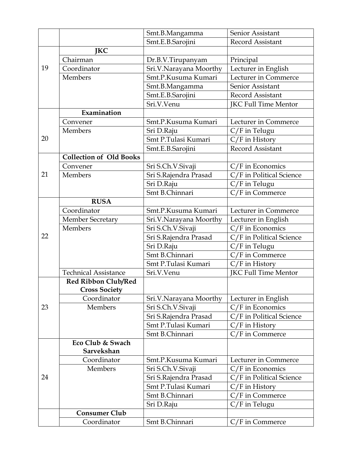|    |                                | Smt.B.Mangamma          | Senior Assistant            |
|----|--------------------------------|-------------------------|-----------------------------|
|    |                                | Smt.E.B.Sarojini        | Record Assistant            |
|    | <b>JKC</b>                     |                         |                             |
| 19 | Chairman                       | Dr.B.V.Tirupanyam       | Principal                   |
|    | Coordinator                    | Sri.V.Narayana Moorthy  | Lecturer in English         |
|    | <b>Members</b>                 | Smt.P.Kusuma Kumari     | Lecturer in Commerce        |
|    |                                | Smt.B.Mangamma          | Senior Assistant            |
|    |                                | Smt.E.B.Sarojini        | Record Assistant            |
|    |                                | Sri.V.Venu              | <b>JKC Full Time Mentor</b> |
|    | Examination                    |                         |                             |
|    | Convener                       | Smt.P.Kusuma Kumari     | Lecturer in Commerce        |
|    | Members                        | Sri D.Raju              | C/F in Telugu               |
| 20 |                                | Smt P.Tulasi Kumari     | $C/F$ in History            |
|    |                                | Smt.E.B.Sarojini        | <b>Record Assistant</b>     |
|    | <b>Collection of Old Books</b> |                         |                             |
|    | Convener                       | Sri S.Ch.V.Sivaji       | $C/F$ in Economics          |
| 21 | <b>Members</b>                 | Sri S.Rajendra Prasad   | C/F in Political Science    |
|    |                                | Sri D.Raju              | C/F in Telugu               |
|    |                                | Smt B.Chinnari          | C/F in Commerce             |
|    | <b>RUSA</b>                    |                         |                             |
|    | Coordinator                    | Smt.P.Kusuma Kumari     | Lecturer in Commerce        |
|    | <b>Member Secretary</b>        | Sri.V.Narayana Moorthy  | Lecturer in English         |
|    | Members                        | Sri S.Ch.V.Sivaji       | C/F in Economics            |
| 22 |                                | Sri S.Rajendra Prasad   | C/F in Political Science    |
|    |                                | Sri D.Raju              | C/F in Telugu               |
|    |                                | Smt B.Chinnari          | C/F in Commerce             |
|    |                                | Smt P.Tulasi Kumari     | C/F in History              |
|    | <b>Technical Assistance</b>    | Sri.V.Venu              | JKC Full Time Mentor        |
|    | Red Ribbon Club/Red            |                         |                             |
|    | <b>Cross Society</b>           |                         |                             |
|    | Coordinator                    | Sri.V. Narayana Moorthy | Lecturer in English         |
| 23 | Members                        | Sri S.Ch.V.Sivaji       | $C/F$ in Economics          |
|    |                                | Sri S.Rajendra Prasad   | C/F in Political Science    |
|    |                                | Smt P.Tulasi Kumari     | $C/F$ in History            |
|    |                                | Smt B.Chinnari          | $C/F$ in Commerce           |
| 24 | Eco Club & Swach               |                         |                             |
|    | Sarvekshan                     |                         |                             |
|    | Coordinator                    | Smt.P.Kusuma Kumari     | Lecturer in Commerce        |
|    | Members                        | Sri S.Ch.V.Sivaji       | $C/F$ in Economics          |
|    |                                | Sri S.Rajendra Prasad   | C/F in Political Science    |
|    |                                | Smt P.Tulasi Kumari     | $C/F$ in History            |
|    |                                | Smt B.Chinnari          | 'F in Commerce              |
|    |                                | Sri D.Raju              | C/F in Telugu               |
|    | <b>Consumer Club</b>           |                         |                             |
|    | Coordinator                    | Smt B.Chinnari          | C/F in Commerce             |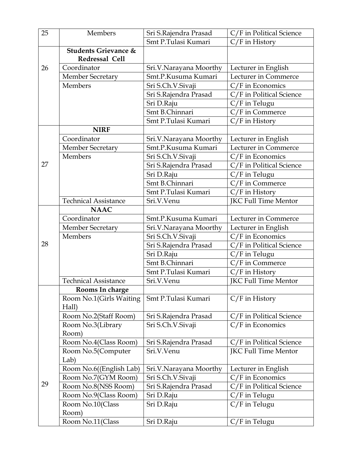| 25 | Members                                           | Sri S.Rajendra Prasad  | C/F in Political Science    |
|----|---------------------------------------------------|------------------------|-----------------------------|
|    |                                                   | Smt P.Tulasi Kumari    | C/F in History              |
|    | <b>Students Grievance &amp;</b><br>Redressal Cell |                        |                             |
| 26 | Coordinator                                       | Sri.V.Narayana Moorthy | Lecturer in English         |
|    | <b>Member Secretary</b>                           | Smt.P.Kusuma Kumari    | Lecturer in Commerce        |
|    | Members                                           | Sri S.Ch.V.Sivaji      | C/F in Economics            |
|    |                                                   | Sri S.Rajendra Prasad  | C/F in Political Science    |
|    |                                                   | Sri D.Raju             | C/F in Telugu               |
|    |                                                   | Smt B.Chinnari         | C/F in Commerce             |
|    |                                                   | Smt P.Tulasi Kumari    | $C/F$ in History            |
|    | <b>NIRF</b>                                       |                        |                             |
|    | Coordinator                                       | Sri.V.Narayana Moorthy | Lecturer in English         |
|    | Member Secretary                                  | Smt.P.Kusuma Kumari    | Lecturer in Commerce        |
|    | Members                                           | Sri S.Ch.V.Sivaji      | $C/F$ in Economics          |
| 27 |                                                   | Sri S.Rajendra Prasad  | C/F in Political Science    |
|    |                                                   | Sri D.Raju             | C/F in Telugu               |
|    |                                                   | Smt B.Chinnari         | C/F in Commerce             |
|    |                                                   | Smt P.Tulasi Kumari    | $C/F$ in History            |
|    | <b>Technical Assistance</b>                       | Sri.V.Venu             | JKC Full Time Mentor        |
|    | <b>NAAC</b>                                       |                        |                             |
|    | Coordinator                                       | Smt.P.Kusuma Kumari    | Lecturer in Commerce        |
|    | Member Secretary                                  | Sri.V.Narayana Moorthy | Lecturer in English         |
|    | Members                                           | Sri S.Ch.V.Sivaji      | $C/F$ in Economics          |
| 28 |                                                   | Sri S.Rajendra Prasad  | C/F in Political Science    |
|    |                                                   | Sri D.Raju             | C/F in Telugu               |
|    |                                                   | Smt B.Chinnari         | $C/F$ in Commerce           |
|    |                                                   | Smt P.Tulasi Kumari    | $C/F$ in History            |
|    | <b>Technical Assistance</b>                       | Sri.V.Venu             | <b>JKC Full Time Mentor</b> |
|    | Rooms In charge                                   |                        |                             |
|    | Room No.1(Girls Waiting<br>Hall)                  | Smt P.Tulasi Kumari    | $C/F$ in History            |
|    | Room No.2(Staff Room)                             | Sri S.Rajendra Prasad  | C/F in Political Science    |
|    | Room No.3(Library                                 | Sri S.Ch.V.Sivaji      | C/F in Economics            |
|    | Room)                                             |                        |                             |
|    | Room No.4(Class Room)                             | Sri S.Rajendra Prasad  | C/F in Political Science    |
| 29 | Room No.5(Computer                                | Sri.V.Venu             | JKC Full Time Mentor        |
|    | Lab)                                              |                        |                             |
|    | Room No.6((English Lab)                           | Sri.V.Narayana Moorthy | Lecturer in English         |
|    | Room No.7(GYM Room)                               | Sri S.Ch.V.Sivaji      | $C/F$ in Economics          |
|    | Room No.8(NSS Room)                               | Sri S.Rajendra Prasad  | C/F in Political Science    |
|    | Room No.9(Class Room)                             | Sri D.Raju             | $C/F$ in Telugu             |
|    | Room No.10(Class                                  | Sri D.Raju             | C/F in Telugu               |
|    | Room)                                             |                        |                             |
|    | Room No.11(Class                                  | Sri D.Raju             | C/F in Telugu               |